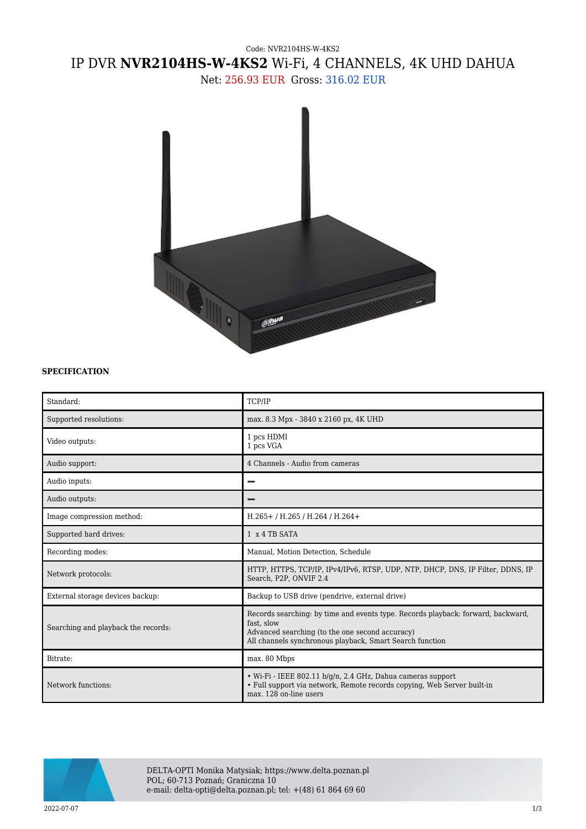## Code: NVR2104HS-W-4KS2 IP DVR **NVR2104HS-W-4KS2** Wi-Fi, 4 CHANNELS, 4K UHD DAHUA

Net: 256.93 EUR Gross: 316.02 EUR



## **SPECIFICATION**

| Standard:                           | TCP/IP                                                                                                                                                                                                        |
|-------------------------------------|---------------------------------------------------------------------------------------------------------------------------------------------------------------------------------------------------------------|
| Supported resolutions:              | max. 8.3 Mpx - 3840 x 2160 px, 4K UHD                                                                                                                                                                         |
| Video outputs:                      | 1 pcs HDMI<br>1 pcs VGA                                                                                                                                                                                       |
| Audio support:                      | 4 Channels - Audio from cameras                                                                                                                                                                               |
| Audio inputs:                       |                                                                                                                                                                                                               |
| Audio outputs:                      |                                                                                                                                                                                                               |
| Image compression method:           | H.265+/H.265/H.264/H.264+                                                                                                                                                                                     |
| Supported hard drives:              | 1 x 4 TB SATA                                                                                                                                                                                                 |
| Recording modes:                    | Manual, Motion Detection, Schedule                                                                                                                                                                            |
| Network protocols:                  | HTTP, HTTPS, TCP/IP, IPv4/IPv6, RTSP, UDP, NTP, DHCP, DNS, IP Filter, DDNS, IP<br>Search, P2P, ONVIF 2.4                                                                                                      |
| External storage devices backup:    | Backup to USB drive (pendrive, external drive)                                                                                                                                                                |
| Searching and playback the records: | Records searching: by time and events type. Records playback: forward, backward,<br>fast, slow<br>Advanced searching (to the one second accuracy)<br>All channels synchronous playback, Smart Search function |
| Bitrate:                            | max. 80 Mbps                                                                                                                                                                                                  |
| Network functions:                  | • Wi-Fi - IEEE 802.11 $b/q/n$ , 2.4 GHz, Dahua cameras support<br>• Full support via network, Remote records copying, Web Server built-in<br>max. 128 on-line users                                           |



DELTA-OPTI Monika Matysiak; https://www.delta.poznan.pl POL; 60-713 Poznań; Graniczna 10 e-mail: delta-opti@delta.poznan.pl; tel: +(48) 61 864 69 60

2022-07-07 1/3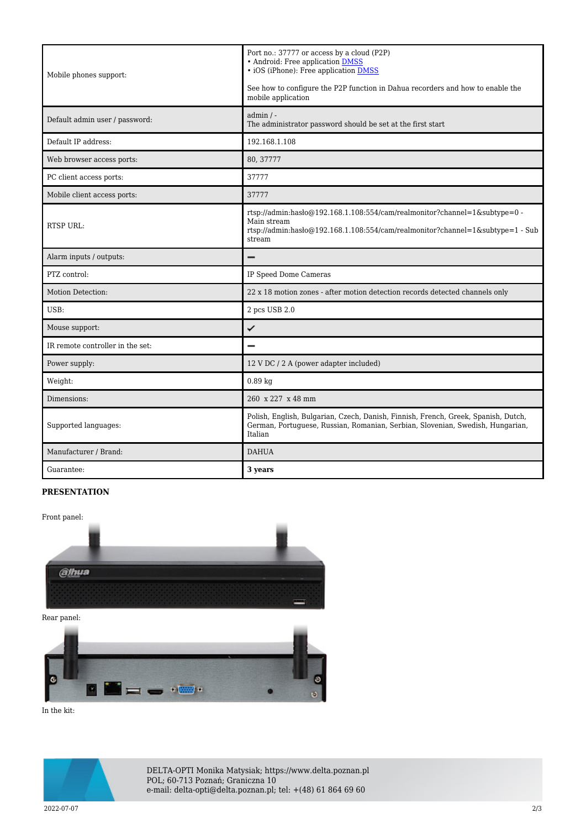| Mobile phones support:           | Port no.: 37777 or access by a cloud (P2P)<br>• Android: Free application DMSS<br>• iOS (iPhone): Free application <b>DMSS</b><br>See how to configure the P2P function in Dahua recorders and how to enable the<br>mobile application |
|----------------------------------|----------------------------------------------------------------------------------------------------------------------------------------------------------------------------------------------------------------------------------------|
| Default admin user / password:   | $admin / -$<br>The administrator password should be set at the first start                                                                                                                                                             |
| Default IP address:              | 192.168.1.108                                                                                                                                                                                                                          |
| Web browser access ports:        | 80, 37777                                                                                                                                                                                                                              |
| PC client access ports:          | 37777                                                                                                                                                                                                                                  |
| Mobile client access ports:      | 37777                                                                                                                                                                                                                                  |
| <b>RTSP URL:</b>                 | rtsp://admin.hasho@192.168.1.108:554/cam/realmonitor?channel=1&subtype=0 -<br>Main stream<br>rtsp://admin:haslo $@192.168.1.108.554/cam/realmonitor?channel=1$ &subtype=1 - Sub<br>stream                                              |
| Alarm inputs / outputs:          |                                                                                                                                                                                                                                        |
| PTZ control:                     | IP Speed Dome Cameras                                                                                                                                                                                                                  |
| Motion Detection:                | 22 x 18 motion zones - after motion detection records detected channels only                                                                                                                                                           |
| $USB$                            | 2 pcs USB 2.0                                                                                                                                                                                                                          |
| Mouse support:                   | ✓                                                                                                                                                                                                                                      |
| IR remote controller in the set: |                                                                                                                                                                                                                                        |
| Power supply:                    | 12 V DC / 2 A (power adapter included)                                                                                                                                                                                                 |
| Weight:                          | $0.89$ kg                                                                                                                                                                                                                              |
| Dimensions:                      | 260 x 227 x 48 mm                                                                                                                                                                                                                      |
| Supported languages:             | Polish, English, Bulgarian, Czech, Danish, Finnish, French, Greek, Spanish, Dutch,<br>German, Portuguese, Russian, Romanian, Serbian, Slovenian, Swedish, Hungarian,<br>Italian                                                        |
| Manufacturer / Brand:            | <b>DAHUA</b>                                                                                                                                                                                                                           |
| Guarantee:                       | 3 years                                                                                                                                                                                                                                |

## **PRESENTATION**



Rear panel:



In the kit:



DELTA-OPTI Monika Matysiak; https://www.delta.poznan.pl POL; 60-713 Poznań; Graniczna 10 e-mail: delta-opti@delta.poznan.pl; tel: +(48) 61 864 69 60